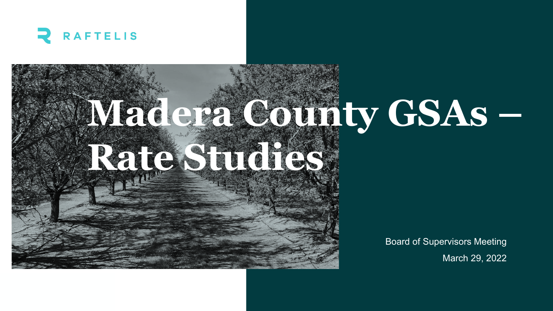

# **Madera County GSAs – Rate Studies**

Board of Supervisors Meeting March 29, 2022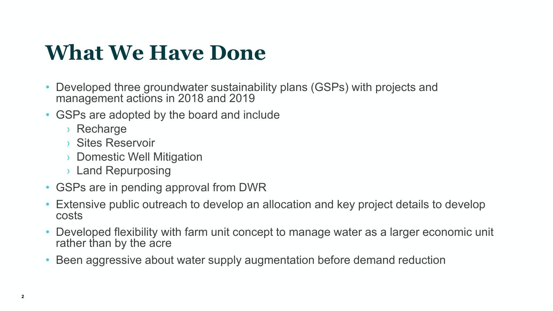#### **What We Have Done**

- Developed three groundwater sustainability plans (GSPs) with projects and management actions in 2018 and 2019
- GSPs are adopted by the board and include
	- › Recharge
	- › Sites Reservoir
	- › Domestic Well Mitigation
	- › Land Repurposing
- GSPs are in pending approval from DWR
- Extensive public outreach to develop an allocation and key project details to develop costs
- Developed flexibility with farm unit concept to manage water as a larger economic unit rather than by the acre
- Been aggressive about water supply augmentation before demand reduction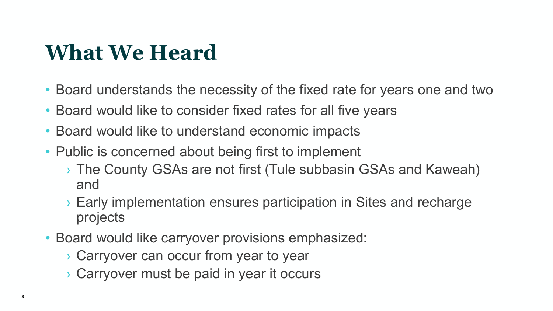#### **What We Heard**

- Board understands the necessity of the fixed rate for years one and two
- Board would like to consider fixed rates for all five years
- Board would like to understand economic impacts
- Public is concerned about being first to implement
	- › The County GSAs are not first (Tule subbasin GSAs and Kaweah) and
	- › Early implementation ensures participation in Sites and recharge projects
- Board would like carryover provisions emphasized:
	- › Carryover can occur from year to year
	- › Carryover must be paid in year it occurs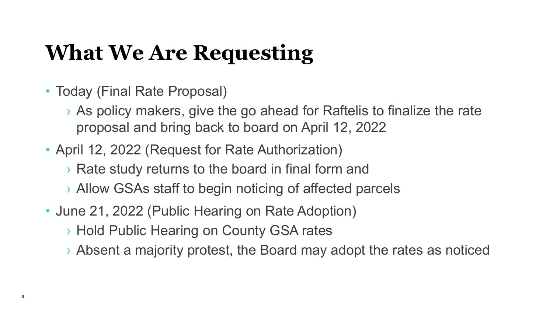#### **What We Are Requesting**

- Today (Final Rate Proposal)
	- › As policy makers, give the go ahead for Raftelis to finalize the rate proposal and bring back to board on April 12, 2022
- April 12, 2022 (Request for Rate Authorization)
	- › Rate study returns to the board in final form and
	- › Allow GSAs staff to begin noticing of affected parcels
- June 21, 2022 (Public Hearing on Rate Adoption)
	- › Hold Public Hearing on County GSA rates
	- › Absent a majority protest, the Board may adopt the rates as noticed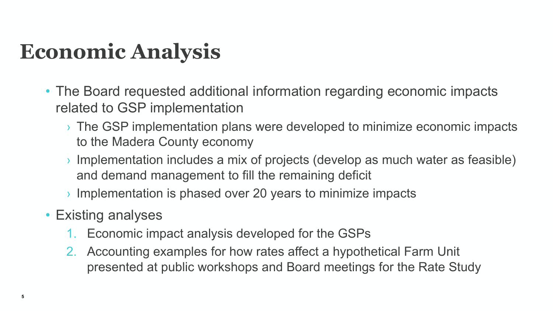#### **Economic Analysis**

- The Board requested additional information regarding economic impacts related to GSP implementation
	- › The GSP implementation plans were developed to minimize economic impacts to the Madera County economy
	- › Implementation includes a mix of projects (develop as much water as feasible) and demand management to fill the remaining deficit
	- $\rightarrow$  Implementation is phased over 20 years to minimize impacts
- Existing analyses
	- 1. Economic impact analysis developed for the GSPs
	- 2. Accounting examples for how rates affect a hypothetical Farm Unit presented at public workshops and Board meetings for the Rate Study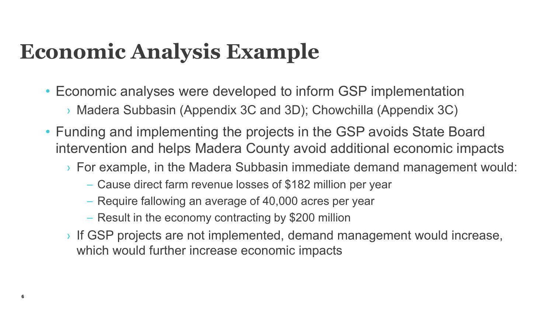#### **Economic Analysis Example**

- Economic analyses were developed to inform GSP implementation › Madera Subbasin (Appendix 3C and 3D); Chowchilla (Appendix 3C)
- Funding and implementing the projects in the GSP avoids State Board intervention and helps Madera County avoid additional economic impacts
	- › For example, in the Madera Subbasin immediate demand management would:
		- Cause direct farm revenue losses of \$182 million per year
		- Require fallowing an average of 40,000 acres per year
		- Result in the economy contracting by \$200 million
	- › If GSP projects are not implemented, demand management would increase, which would further increase economic impacts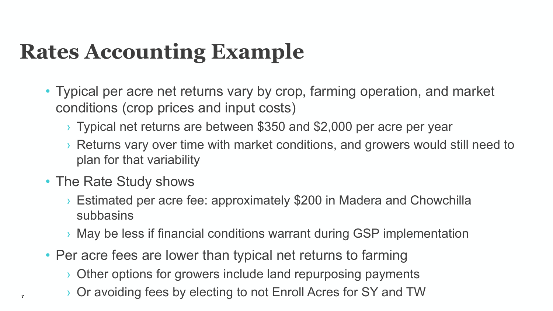#### **Rates Accounting Example**

- Typical per acre net returns vary by crop, farming operation, and market conditions (crop prices and input costs)
	- › Typical net returns are between \$350 and \$2,000 per acre per year
	- › Returns vary over time with market conditions, and growers would still need to plan for that variability
- The Rate Study shows
	- › Estimated per acre fee: approximately \$200 in Madera and Chowchilla subbasins
	- › May be less if financial conditions warrant during GSP implementation
- Per acre fees are lower than typical net returns to farming
	- › Other options for growers include land repurposing payments
	- **<sup>7</sup>** › Or avoiding fees by electing to not Enroll Acres for SY and TW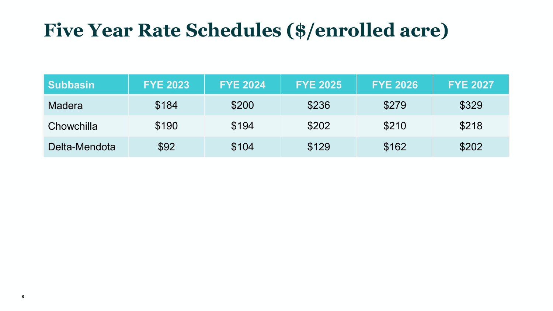#### **Five Year Rate Schedules (\$/enrolled acre)**

| <b>Subbasin</b> | <b>FYE 2023</b> | <b>FYE 2024</b> | <b>FYE 2025</b> | <b>FYE 2026</b> | <b>FYE 2027</b> |
|-----------------|-----------------|-----------------|-----------------|-----------------|-----------------|
| <b>Madera</b>   | \$184           | \$200           | \$236           | \$279           | \$329           |
| Chowchilla      | \$190           | \$194           | \$202           | \$210           | \$218           |
| Delta-Mendota   | \$92            | \$104           | \$129           | \$162           | \$202           |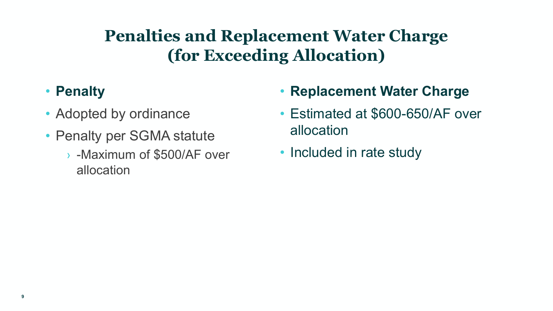#### **Penalties and Replacement Water Charge (for Exceeding Allocation)**

#### • **Penalty**

- Adopted by ordinance
- Penalty per SGMA statute
	- › -Maximum of \$500/AF over allocation
- **Replacement Water Charge**
- Estimated at \$600-650/AF over allocation
- Included in rate study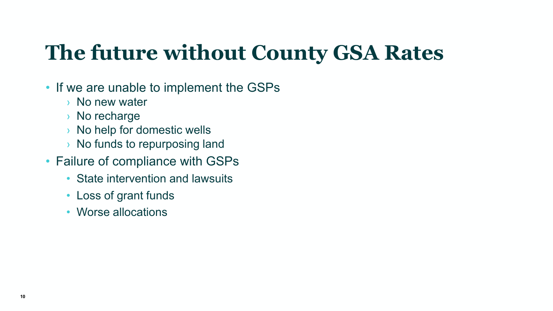#### **The future without County GSA Rates**

- If we are unable to implement the GSPs
	- › No new water
	- › No recharge
	- › No help for domestic wells
	- › No funds to repurposing land
- Failure of compliance with GSPs
	- State intervention and lawsuits
	- Loss of grant funds
	- Worse allocations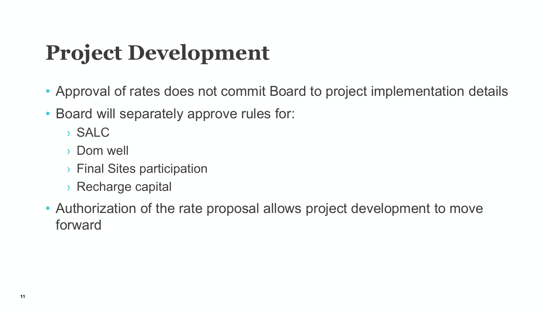### **Project Development**

- Approval of rates does not commit Board to project implementation details
- Board will separately approve rules for:
	- › SALC
	- › Dom well
	- › Final Sites participation
	- › Recharge capital
- Authorization of the rate proposal allows project development to move forward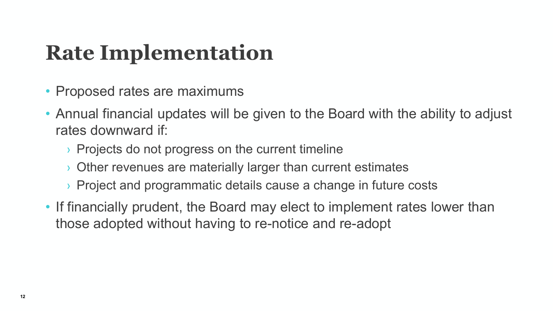#### **Rate Implementation**

- Proposed rates are maximums
- Annual financial updates will be given to the Board with the ability to adjust rates downward if:
	- › Projects do not progress on the current timeline
	- Other revenues are materially larger than current estimates
	- › Project and programmatic details cause a change in future costs
- If financially prudent, the Board may elect to implement rates lower than those adopted without having to re-notice and re-adopt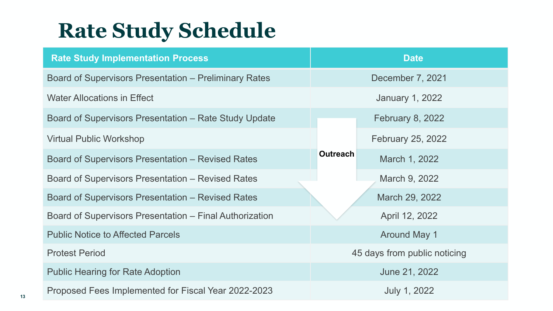#### **Rate Study Schedule**

| <b>Rate Study Implementation Process</b>                     | <b>Date</b>     |                              |  |
|--------------------------------------------------------------|-----------------|------------------------------|--|
| <b>Board of Supervisors Presentation – Preliminary Rates</b> |                 | December 7, 2021             |  |
| <b>Water Allocations in Effect</b>                           |                 | <b>January 1, 2022</b>       |  |
| Board of Supervisors Presentation – Rate Study Update        |                 | <b>February 8, 2022</b>      |  |
| <b>Virtual Public Workshop</b>                               |                 | February 25, 2022            |  |
| <b>Board of Supervisors Presentation – Revised Rates</b>     | <b>Outreach</b> | March 1, 2022                |  |
| Board of Supervisors Presentation – Revised Rates            |                 | March 9, 2022                |  |
| <b>Board of Supervisors Presentation – Revised Rates</b>     |                 | March 29, 2022               |  |
| Board of Supervisors Presentation – Final Authorization      |                 | April 12, 2022               |  |
| <b>Public Notice to Affected Parcels</b>                     |                 | <b>Around May 1</b>          |  |
| <b>Protest Period</b>                                        |                 | 45 days from public noticing |  |
| <b>Public Hearing for Rate Adoption</b>                      |                 | June 21, 2022                |  |
| Proposed Fees Implemented for Fiscal Year 2022-2023          |                 | July 1, 2022                 |  |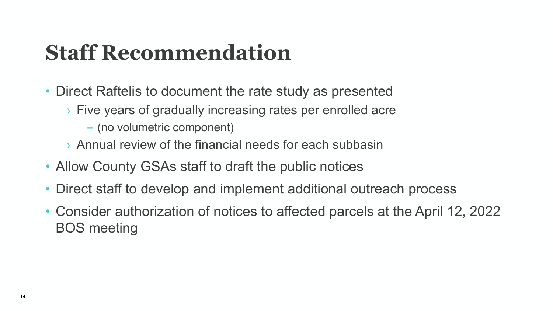#### **Staff Recommendation**

- Direct Raftelis to document the rate study as presented
	- › Five years of gradually increasing rates per enrolled acre
		- (no volumetric component)
	- › Annual review of the financial needs for each subbasin
- Allow County GSAs staff to draft the public notices
- Direct staff to develop and implement additional outreach process
- Consider authorization of notices to affected parcels at the April 12, 2022 BOS meeting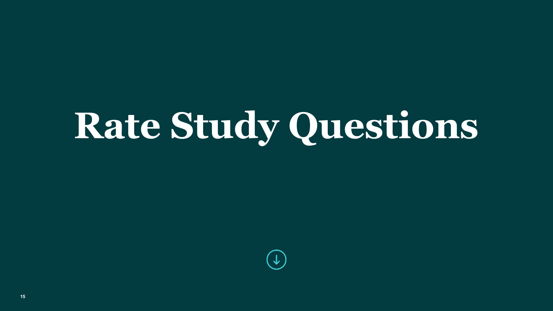# **Rate Study Questions**

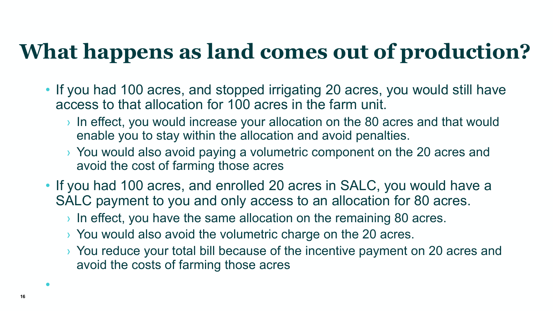#### **What happens as land comes out of production?**

- If you had 100 acres, and stopped irrigating 20 acres, you would still have access to that allocation for 100 acres in the farm unit.
	- › In effect, you would increase your allocation on the 80 acres and that would enable you to stay within the allocation and avoid penalties.
	- › You would also avoid paying a volumetric component on the 20 acres and avoid the cost of farming those acres
- If you had 100 acres, and enrolled 20 acres in SALC, you would have a SALC payment to you and only access to an allocation for 80 acres.
	- $\rightarrow$  In effect, you have the same allocation on the remaining 80 acres.
	- › You would also avoid the volumetric charge on the 20 acres.
	- › You reduce your total bill because of the incentive payment on 20 acres and avoid the costs of farming those acres

•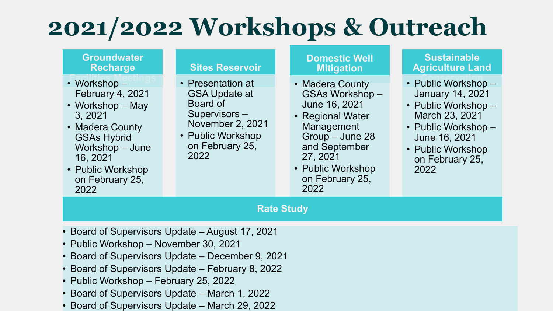## **2021/2022 Workshops & Outreach**

| <b>Groundwater</b><br><b>Recharge</b>                                                                                                                                                                                                     | <b>Sites Reservoir</b>                                                                                                                           | <b>Domestic Well</b><br><b>Mitigation</b>                                                                                                                                            | <b>Sustainable</b><br><b>Agriculture Land</b>                                                                                                                                     |  |  |  |  |
|-------------------------------------------------------------------------------------------------------------------------------------------------------------------------------------------------------------------------------------------|--------------------------------------------------------------------------------------------------------------------------------------------------|--------------------------------------------------------------------------------------------------------------------------------------------------------------------------------------|-----------------------------------------------------------------------------------------------------------------------------------------------------------------------------------|--|--|--|--|
| • Workshop $-$<br>February 4, 2021<br>• Workshop – May<br>3, 2021<br>• Madera County<br><b>GSAs Hybrid</b><br>Workshop - June<br>16, 2021<br>• Public Workshop<br>on February 25,<br>2022                                                 | • Presentation at<br><b>GSA Update at</b><br>Board of<br>Supervisors-<br><b>November 2, 2021</b><br>• Public Workshop<br>on February 25,<br>2022 | • Madera County<br>GSAs Workshop-<br>June 16, 2021<br>• Regional Water<br>Management<br>Group - June 28<br>and September<br>27, 2021<br>• Public Workshop<br>on February 25,<br>2022 | • Public Workshop $-$<br><b>January 14, 2021</b><br>• Public Workshop -<br>March 23, 2021<br>• Public Workshop -<br>June 16, 2021<br>• Public Workshop<br>on February 25,<br>2022 |  |  |  |  |
| <b>Rate Study</b>                                                                                                                                                                                                                         |                                                                                                                                                  |                                                                                                                                                                                      |                                                                                                                                                                                   |  |  |  |  |
| • Board of Supervisors Update – August 17, 2021<br>• Public Workshop – November 30, 2021<br>• Board of Supervisors Update – December 9, 2021<br>• Board of Supervisors Update – February 8, 2022<br>• Public Workshop – February 25, 2022 |                                                                                                                                                  |                                                                                                                                                                                      |                                                                                                                                                                                   |  |  |  |  |

- Board of Supervisors Update March 1, 2022
- Board of Supervisors Update March 29, 2022